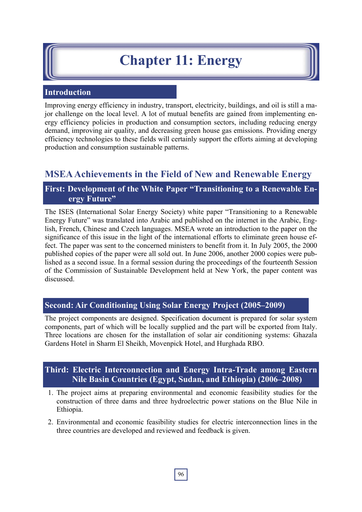# **Chapter 11: Energy**

#### **Introduction**

Improving energy efficiency in industry, transport, electricity, buildings, and oil is still a major challenge on the local level. A lot of mutual benefits are gained from implementing energy efficiency policies in production and consumption sectors, including reducing energy demand, improving air quality, and decreasing green house gas emissions. Providing energy efficiency technologies to these fields will certainly support the efforts aiming at developing production and consumption sustainable patterns.

## **MSEA Achievements in the Field of New and Renewable Energy**

## **First: Development of the White Paper "Transitioning to a Renewable Energy Future"**

The ISES (International Solar Energy Society) white paper "Transitioning to a Renewable Energy Future" was translated into Arabic and published on the internet in the Arabic, English, French, Chinese and Czech languages. MSEA wrote an introduction to the paper on the significance of this issue in the light of the international efforts to eliminate green house effect. The paper was sent to the concerned ministers to benefit from it. In July 2005, the 2000 published copies of the paper were all sold out. In June 2006, another 2000 copies were published as a second issue. In a formal session during the proceedings of the fourteenth Session of the Commission of Sustainable Development held at New York, the paper content was discussed.

## **Second: Air Conditioning Using Solar Energy Project (2005–2009)**

The project components are designed. Specification document is prepared for solar system components, part of which will be locally supplied and the part will be exported from Italy. Three locations are chosen for the installation of solar air conditioning systems: Ghazala Gardens Hotel in Sharm El Sheikh, Movenpick Hotel, and Hurghada RBO.

## **Third: Electric Interconnection and Energy Intra-Trade among Eastern Nile Basin Countries (Egypt, Sudan, and Ethiopia) (2006–2008)**

- 1. The project aims at preparing environmental and economic feasibility studies for the construction of three dams and three hydroelectric power stations on the Blue Nile in Ethiopia.
- 2. Environmental and economic feasibility studies for electric interconnection lines in the three countries are developed and reviewed and feedback is given.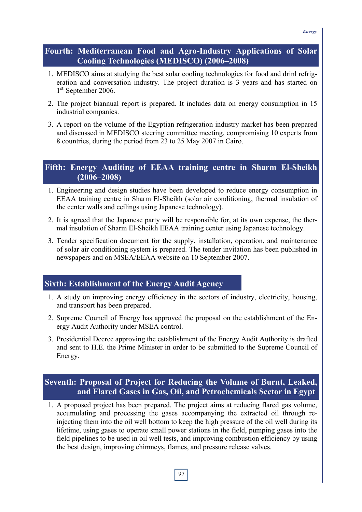#### **Fourth: Mediterranean Food and Agro-Industry Applications of Solar Cooling Technologies (MEDISCO) (2006–2008)**

- 1. MEDISCO aims at studying the best solar cooling technologies for food and drinl refrigeration and conversation industry. The project duration is 3 years and has started on  $1^{\text{st}}$  September 2006.
- 2. The project biannual report is prepared. It includes data on energy consumption in 15 industrial companies.
- 3. A report on the volume of the Egyptian refrigeration industry market has been prepared and discussed in MEDISCO steering committee meeting, compromising 10 experts from 8 countries, during the period from 23 to 25 May 2007 in Cairo.

### **Fifth: Energy Auditing of EEAA training centre in Sharm El-Sheikh (2006–2008)**

- 1. Engineering and design studies have been developed to reduce energy consumption in EEAA training centre in Sharm El-Sheikh (solar air conditioning, thermal insulation of the center walls and ceilings using Japanese technology).
- 2. It is agreed that the Japanese party will be responsible for, at its own expense, the thermal insulation of Sharm El-Sheikh EEAA training center using Japanese technology.
- 3. Tender specification document for the supply, installation, operation, and maintenance of solar air conditioning system is prepared. The tender invitation has been published in newspapers and on MSEA/EEAA website on 10 September 2007.

## **Sixth: Establishment of the Energy Audit Agency**

- 1. A study on improving energy efficiency in the sectors of industry, electricity, housing, and transport has been prepared.
- 2. Supreme Council of Energy has approved the proposal on the establishment of the Energy Audit Authority under MSEA control.
- 3. Presidential Decree approving the establishment of the Energy Audit Authority is drafted and sent to H.E. the Prime Minister in order to be submitted to the Supreme Council of Energy.

### **Seventh: Proposal of Project for Reducing the Volume of Burnt, Leaked, and Flared Gases in Gas, Oil, and Petrochemicals Sector in Egypt**

1. A proposed project has been prepared. The project aims at reducing flared gas volume, accumulating and processing the gases accompanying the extracted oil through reinjecting them into the oil well bottom to keep the high pressure of the oil well during its lifetime, using gases to operate small power stations in the field, pumping gases into the field pipelines to be used in oil well tests, and improving combustion efficiency by using the best design, improving chimneys, flames, and pressure release valves.